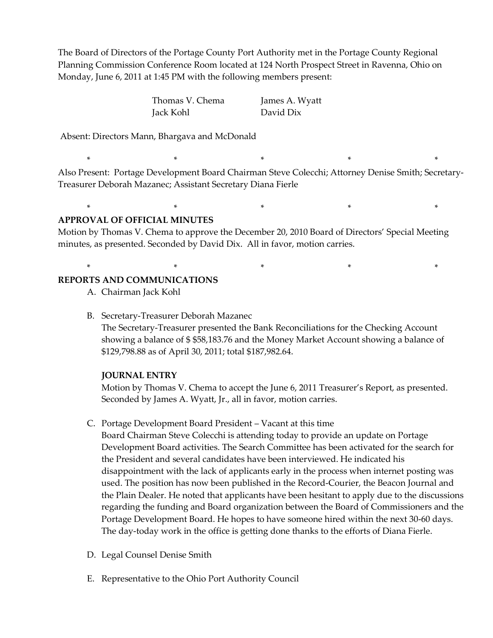The Board of Directors of the Portage County Port Authority met in the Portage County Regional Planning Commission Conference Room located at 124 North Prospect Street in Ravenna, Ohio on Monday, June 6, 2011 at 1:45 PM with the following members present:

> Thomas V. Chema James A. Wyatt Jack Kohl David Dix

Absent: Directors Mann, Bhargava and McDonald

Also Present: Portage Development Board Chairman Steve Colecchi; Attorney Denise Smith; Secretary-Treasurer Deborah Mazanec; Assistant Secretary Diana Fierle

\* \* \* \* \*

\* \* \* \* \*

\* \* \* \* \*

### **APPROVAL OF OFFICIAL MINUTES**

Motion by Thomas V. Chema to approve the December 20, 2010 Board of Directors' Special Meeting minutes, as presented. Seconded by David Dix. All in favor, motion carries.

#### **REPORTS AND COMMUNICATIONS**

- A. Chairman Jack Kohl
- B. Secretary-Treasurer Deborah Mazanec

The Secretary-Treasurer presented the Bank Reconciliations for the Checking Account showing a balance of \$ \$58,183.76 and the Money Market Account showing a balance of \$129,798.88 as of April 30, 2011; total \$187,982.64.

#### **JOURNAL ENTRY**

Motion by Thomas V. Chema to accept the June 6, 2011 Treasurer's Report, as presented. Seconded by James A. Wyatt, Jr., all in favor, motion carries.

C. Portage Development Board President – Vacant at this time

Board Chairman Steve Colecchi is attending today to provide an update on Portage Development Board activities. The Search Committee has been activated for the search for the President and several candidates have been interviewed. He indicated his disappointment with the lack of applicants early in the process when internet posting was used. The position has now been published in the Record-Courier, the Beacon Journal and the Plain Dealer. He noted that applicants have been hesitant to apply due to the discussions regarding the funding and Board organization between the Board of Commissioners and the Portage Development Board. He hopes to have someone hired within the next 30-60 days. The day-today work in the office is getting done thanks to the efforts of Diana Fierle.

- D. Legal Counsel Denise Smith
- E. Representative to the Ohio Port Authority Council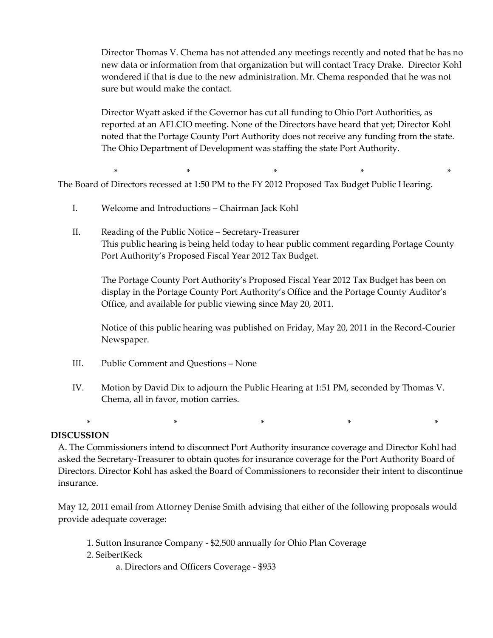Director Thomas V. Chema has not attended any meetings recently and noted that he has no new data or information from that organization but will contact Tracy Drake. Director Kohl wondered if that is due to the new administration. Mr. Chema responded that he was not sure but would make the contact.

Director Wyatt asked if the Governor has cut all funding to Ohio Port Authorities, as reported at an AFLCIO meeting. None of the Directors have heard that yet; Director Kohl noted that the Portage County Port Authority does not receive any funding from the state. The Ohio Department of Development was staffing the state Port Authority.

\* \* \* \* \* \* \* \* \* \* \* \* The Board of Directors recessed at 1:50 PM to the FY 2012 Proposed Tax Budget Public Hearing.

- I. Welcome and Introductions Chairman Jack Kohl
- II. Reading of the Public Notice Secretary-Treasurer This public hearing is being held today to hear public comment regarding Portage County Port Authority's Proposed Fiscal Year 2012 Tax Budget.

The Portage County Port Authority's Proposed Fiscal Year 2012 Tax Budget has been on display in the Portage County Port Authority's Office and the Portage County Auditor's Office, and available for public viewing since May 20, 2011.

Notice of this public hearing was published on Friday, May 20, 2011 in the Record-Courier Newspaper.

- III. Public Comment and Questions None
- IV. Motion by David Dix to adjourn the Public Hearing at 1:51 PM, seconded by Thomas V. Chema, all in favor, motion carries.

### **DISCUSSION**

A. The Commissioners intend to disconnect Port Authority insurance coverage and Director Kohl had asked the Secretary-Treasurer to obtain quotes for insurance coverage for the Port Authority Board of Directors. Director Kohl has asked the Board of Commissioners to reconsider their intent to discontinue insurance.

\* \* \* \* \*

May 12, 2011 email from Attorney Denise Smith advising that either of the following proposals would provide adequate coverage:

- 1. Sutton Insurance Company \$2,500 annually for Ohio Plan Coverage
- 2. SeibertKeck
	- a. Directors and Officers Coverage \$953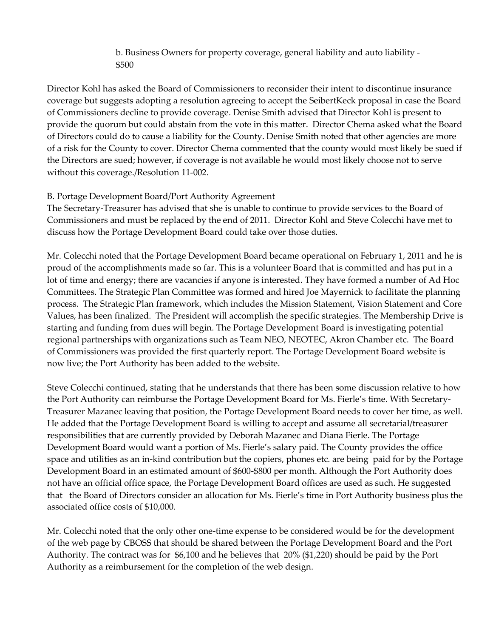b. Business Owners for property coverage, general liability and auto liability - \$500

Director Kohl has asked the Board of Commissioners to reconsider their intent to discontinue insurance coverage but suggests adopting a resolution agreeing to accept the SeibertKeck proposal in case the Board of Commissioners decline to provide coverage. Denise Smith advised that Director Kohl is present to provide the quorum but could abstain from the vote in this matter. Director Chema asked what the Board of Directors could do to cause a liability for the County. Denise Smith noted that other agencies are more of a risk for the County to cover. Director Chema commented that the county would most likely be sued if the Directors are sued; however, if coverage is not available he would most likely choose not to serve without this coverage./Resolution 11-002.

# B. Portage Development Board/Port Authority Agreement

The Secretary-Treasurer has advised that she is unable to continue to provide services to the Board of Commissioners and must be replaced by the end of 2011. Director Kohl and Steve Colecchi have met to discuss how the Portage Development Board could take over those duties.

Mr. Colecchi noted that the Portage Development Board became operational on February 1, 2011 and he is proud of the accomplishments made so far. This is a volunteer Board that is committed and has put in a lot of time and energy; there are vacancies if anyone is interested. They have formed a number of Ad Hoc Committees. The Strategic Plan Committee was formed and hired Joe Mayernick to facilitate the planning process. The Strategic Plan framework, which includes the Mission Statement, Vision Statement and Core Values, has been finalized. The President will accomplish the specific strategies. The Membership Drive is starting and funding from dues will begin. The Portage Development Board is investigating potential regional partnerships with organizations such as Team NEO, NEOTEC, Akron Chamber etc. The Board of Commissioners was provided the first quarterly report. The Portage Development Board website is now live; the Port Authority has been added to the website.

Steve Colecchi continued, stating that he understands that there has been some discussion relative to how the Port Authority can reimburse the Portage Development Board for Ms. Fierle's time. With Secretary-Treasurer Mazanec leaving that position, the Portage Development Board needs to cover her time, as well. He added that the Portage Development Board is willing to accept and assume all secretarial/treasurer responsibilities that are currently provided by Deborah Mazanec and Diana Fierle. The Portage Development Board would want a portion of Ms. Fierle's salary paid. The County provides the office space and utilities as an in-kind contribution but the copiers, phones etc. are being paid for by the Portage Development Board in an estimated amount of \$600-\$800 per month. Although the Port Authority does not have an official office space, the Portage Development Board offices are used as such. He suggested that the Board of Directors consider an allocation for Ms. Fierle's time in Port Authority business plus the associated office costs of \$10,000.

Mr. Colecchi noted that the only other one-time expense to be considered would be for the development of the web page by CBOSS that should be shared between the Portage Development Board and the Port Authority. The contract was for \$6,100 and he believes that 20% (\$1,220) should be paid by the Port Authority as a reimbursement for the completion of the web design.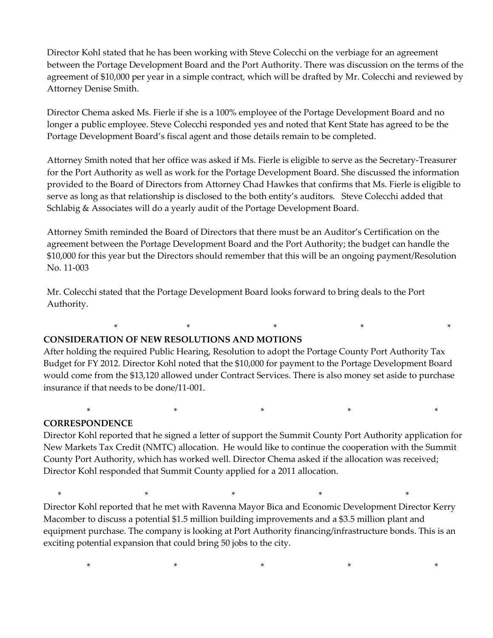Director Kohl stated that he has been working with Steve Colecchi on the verbiage for an agreement between the Portage Development Board and the Port Authority. There was discussion on the terms of the agreement of \$10,000 per year in a simple contract, which will be drafted by Mr. Colecchi and reviewed by Attorney Denise Smith.

Director Chema asked Ms. Fierle if she is a 100% employee of the Portage Development Board and no longer a public employee. Steve Colecchi responded yes and noted that Kent State has agreed to be the Portage Development Board's fiscal agent and those details remain to be completed.

Attorney Smith noted that her office was asked if Ms. Fierle is eligible to serve as the Secretary-Treasurer for the Port Authority as well as work for the Portage Development Board. She discussed the information provided to the Board of Directors from Attorney Chad Hawkes that confirms that Ms. Fierle is eligible to serve as long as that relationship is disclosed to the both entity's auditors. Steve Colecchi added that Schlabig & Associates will do a yearly audit of the Portage Development Board.

Attorney Smith reminded the Board of Directors that there must be an Auditor's Certification on the agreement between the Portage Development Board and the Port Authority; the budget can handle the \$10,000 for this year but the Directors should remember that this will be an ongoing payment/Resolution No. 11-003

Mr. Colecchi stated that the Portage Development Board looks forward to bring deals to the Port Authority.

# **CONSIDERATION OF NEW RESOLUTIONS AND MOTIONS**

After holding the required Public Hearing, Resolution to adopt the Portage County Port Authority Tax Budget for FY 2012. Director Kohl noted that the \$10,000 for payment to the Portage Development Board would come from the \$13,120 allowed under Contract Services. There is also money set aside to purchase insurance if that needs to be done/11-001.

\* \* \* \* \* \* \* \* \* \* \* \*

# **CORRESPONDENCE**

Director Kohl reported that he signed a letter of support the Summit County Port Authority application for New Markets Tax Credit (NMTC) allocation. He would like to continue the cooperation with the Summit County Port Authority, which has worked well. Director Chema asked if the allocation was received; Director Kohl responded that Summit County applied for a 2011 allocation.

\* \* \* \* \*

 $*$  \*  $*$  \*  $*$  \* Director Kohl reported that he met with Ravenna Mayor Bica and Economic Development Director Kerry Macomber to discuss a potential \$1.5 million building improvements and a \$3.5 million plant and equipment purchase. The company is looking at Port Authority financing/infrastructure bonds. This is an exciting potential expansion that could bring 50 jobs to the city.

\* \* \* \* \*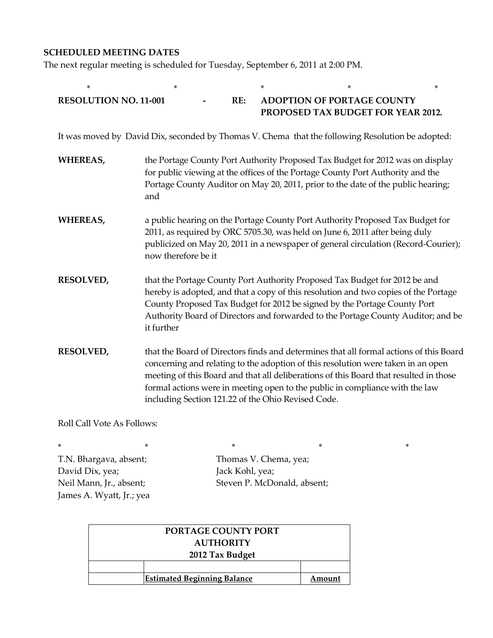### **SCHEDULED MEETING DATES**

The next regular meeting is scheduled for Tuesday, September 6, 2011 at 2:00 PM.

| *                                                                                                |                                                                                                                                                                                                                                                                                                                                                                                                           |     |  |  |                                   | *                                  |
|--------------------------------------------------------------------------------------------------|-----------------------------------------------------------------------------------------------------------------------------------------------------------------------------------------------------------------------------------------------------------------------------------------------------------------------------------------------------------------------------------------------------------|-----|--|--|-----------------------------------|------------------------------------|
| <b>RESOLUTION NO. 11-001</b>                                                                     |                                                                                                                                                                                                                                                                                                                                                                                                           | RE: |  |  | <b>ADOPTION OF PORTAGE COUNTY</b> | PROPOSED TAX BUDGET FOR YEAR 2012. |
| It was moved by David Dix, seconded by Thomas V. Chema that the following Resolution be adopted: |                                                                                                                                                                                                                                                                                                                                                                                                           |     |  |  |                                   |                                    |
| <b>WHEREAS,</b>                                                                                  | the Portage County Port Authority Proposed Tax Budget for 2012 was on display<br>for public viewing at the offices of the Portage County Port Authority and the<br>Portage County Auditor on May 20, 2011, prior to the date of the public hearing;<br>and                                                                                                                                                |     |  |  |                                   |                                    |
| <b>WHEREAS,</b>                                                                                  | a public hearing on the Portage County Port Authority Proposed Tax Budget for<br>2011, as required by ORC 5705.30, was held on June 6, 2011 after being duly<br>publicized on May 20, 2011 in a newspaper of general circulation (Record-Courier);<br>now therefore be it                                                                                                                                 |     |  |  |                                   |                                    |
| <b>RESOLVED,</b>                                                                                 | that the Portage County Port Authority Proposed Tax Budget for 2012 be and<br>hereby is adopted, and that a copy of this resolution and two copies of the Portage<br>County Proposed Tax Budget for 2012 be signed by the Portage County Port<br>Authority Board of Directors and forwarded to the Portage County Auditor; and be<br>it further                                                           |     |  |  |                                   |                                    |
| <b>RESOLVED,</b>                                                                                 | that the Board of Directors finds and determines that all formal actions of this Board<br>concerning and relating to the adoption of this resolution were taken in an open<br>meeting of this Board and that all deliberations of this Board that resulted in those<br>formal actions were in meeting open to the public in compliance with the law<br>including Section 121.22 of the Ohio Revised Code. |     |  |  |                                   |                                    |
| 11 ח A ח 11 ח ח                                                                                  |                                                                                                                                                                                                                                                                                                                                                                                                           |     |  |  |                                   |                                    |

Roll Call Vote As Follows:

\* \* \* \* \* David Dix, yea; Jack Kohl, yea; James A. Wyatt, Jr.; yea

T.N. Bhargava, absent; Thomas V. Chema, yea; Neil Mann, Jr., absent; Steven P. McDonald, absent;

| PORTAGE COUNTY PORT |                                    |        |  |  |
|---------------------|------------------------------------|--------|--|--|
| <b>AUTHORITY</b>    |                                    |        |  |  |
| 2012 Tax Budget     |                                    |        |  |  |
|                     |                                    |        |  |  |
|                     | <b>Estimated Beginning Balance</b> | Amount |  |  |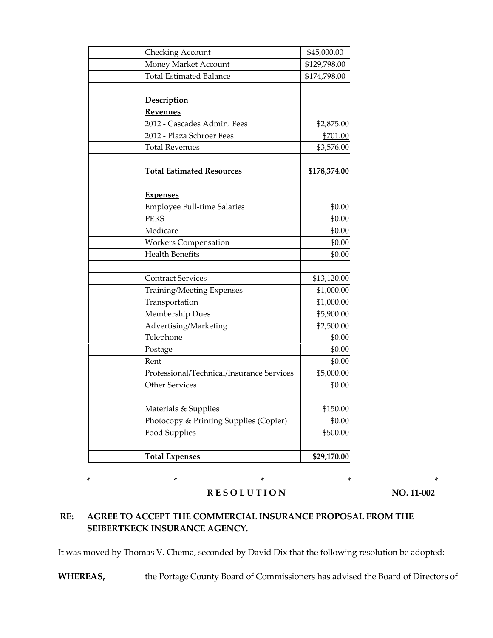| Checking Account                                  | \$45,000.00  |
|---------------------------------------------------|--------------|
| Money Market Account                              | \$129,798.00 |
| <b>Total Estimated Balance</b>                    | \$174,798.00 |
|                                                   |              |
| Description                                       |              |
| Revenues                                          |              |
| 2012 - Cascades Admin. Fees                       | \$2,875.00   |
| 2012 - Plaza Schroer Fees                         | \$701.00     |
| <b>Total Revenues</b>                             | \$3,576.00   |
|                                                   |              |
| <b>Total Estimated Resources</b>                  | \$178,374.00 |
|                                                   |              |
| <u>Expenses</u>                                   |              |
| <b>Employee Full-time Salaries</b><br><b>PERS</b> | \$0.00       |
| Medicare                                          | \$0.00       |
|                                                   | \$0.00       |
| <b>Workers Compensation</b>                       | \$0.00       |
| <b>Health Benefits</b>                            | \$0.00       |
| <b>Contract Services</b>                          | \$13,120.00  |
| <b>Training/Meeting Expenses</b>                  | \$1,000.00   |
| Transportation                                    | \$1,000.00   |
| <b>Membership Dues</b>                            | \$5,900.00   |
| Advertising/Marketing                             | \$2,500.00   |
| Telephone                                         | \$0.00       |
| Postage                                           | \$0.00       |
| Rent                                              | \$0.00       |
| Professional/Technical/Insurance Services         | \$5,000.00   |
| <b>Other Services</b>                             | \$0.00       |
| Materials & Supplies                              | \$150.00     |
| Photocopy & Printing Supplies (Copier)            | \$0.00       |
| <b>Food Supplies</b>                              | \$500.00     |
|                                                   |              |
| <b>Total Expenses</b>                             | \$29,170.00  |

### **RESOLUTION** NO. 11-002

\* \* \* \* \*

# **RE: AGREE TO ACCEPT THE COMMERCIAL INSURANCE PROPOSAL FROM THE SEIBERTKECK INSURANCE AGENCY.**

It was moved by Thomas V. Chema, seconded by David Dix that the following resolution be adopted:

**WHEREAS,** the Portage County Board of Commissioners has advised the Board of Directors of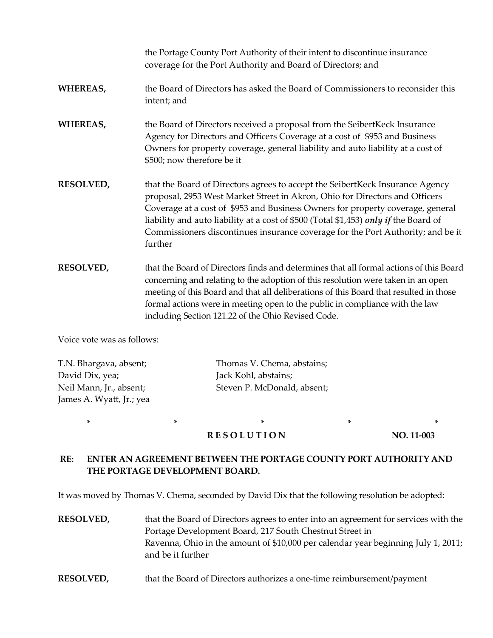the Portage County Port Authority of their intent to discontinue insurance coverage for the Port Authority and Board of Directors; and

### **WHEREAS,** the Board of Directors has asked the Board of Commissioners to reconsider this intent; and

# **WHEREAS,** the Board of Directors received a proposal from the SeibertKeck Insurance Agency for Directors and Officers Coverage at a cost of \$953 and Business Owners for property coverage, general liability and auto liability at a cost of \$500; now therefore be it

- **RESOLVED,** that the Board of Directors agrees to accept the SeibertKeck Insurance Agency proposal, 2953 West Market Street in Akron, Ohio for Directors and Officers Coverage at a cost of \$953 and Business Owners for property coverage, general liability and auto liability at a cost of \$500 (Total \$1,453) *only if* the Board of Commissioners discontinues insurance coverage for the Port Authority; and be it further
- **RESOLVED,** that the Board of Directors finds and determines that all formal actions of this Board concerning and relating to the adoption of this resolution were taken in an open meeting of this Board and that all deliberations of this Board that resulted in those formal actions were in meeting open to the public in compliance with the law including Section 121.22 of the Ohio Revised Code.

Voice vote was as follows:

| T.N. Bhargava, absent;   | Thomas V. Chema, abstains;  |
|--------------------------|-----------------------------|
| David Dix, yea;          | Jack Kohl, abstains;        |
| Neil Mann, Jr., absent;  | Steven P. McDonald, absent; |
| James A. Wyatt, Jr.; yea |                             |
|                          |                             |

# **RESOLUTION** NO. 11-003

# **RE: ENTER AN AGREEMENT BETWEEN THE PORTAGE COUNTY PORT AUTHORITY AND THE PORTAGE DEVELOPMENT BOARD.**

\* \* \* \* \*

It was moved by Thomas V. Chema, seconded by David Dix that the following resolution be adopted:

**RESOLVED,** that the Board of Directors agrees to enter into an agreement for services with the Portage Development Board, 217 South Chestnut Street in Ravenna, Ohio in the amount of \$10,000 per calendar year beginning July 1, 2011; and be it further

**RESOLVED,** that the Board of Directors authorizes a one-time reimbursement/payment